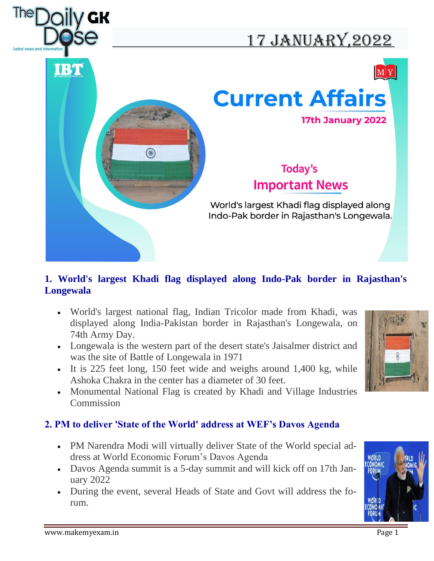

# 17 JANUARY, 2022







## Today's **Important News**

World's largest Khadi flag displayed along Indo-Pak border in Rajasthan's Longewala.

#### **1. World's largest Khadi flag displayed along Indo-Pak border in Rajasthan's Longewala**

- World's largest national flag, Indian Tricolor made from Khadi, was displayed along India-Pakistan border in Rajasthan's Longewala, on 74th Army Day.
- Longewala is the western part of the desert state's Jaisalmer district and was the site of Battle of Longewala in 1971
- It is 225 feet long, 150 feet wide and weighs around 1,400 kg, while Ashoka Chakra in the center has a diameter of 30 feet.
- Monumental National Flag is created by Khadi and Village Industries **Commission**

#### **2. PM to deliver 'State of the World' address at WEF's Davos Agenda**

- PM Narendra Modi will virtually deliver State of the World special address at World Economic Forum's Davos Agenda
- Davos Agenda summit is a 5-day summit and will kick off on 17th January 2022
- During the event, several Heads of State and Govt will address the forum.



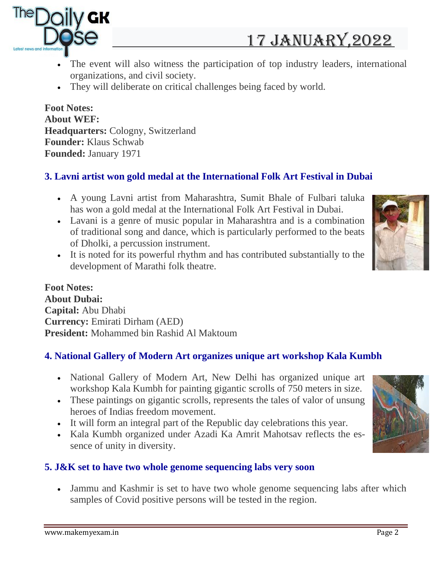



- The event will also witness the participation of top industry leaders, international organizations, and civil society.
- They will deliberate on critical challenges being faced by world.

**Foot Notes: About WEF: Headquarters:** Cologny, Switzerland **Founder:** Klaus Schwab **Founded:** January 1971

### **3. Lavni artist won gold medal at the International Folk Art Festival in Dubai**

- A young Lavni artist from Maharashtra, Sumit Bhale of Fulbari taluka has won a gold medal at the International Folk Art Festival in Dubai.
- Lavani is a genre of music popular in Maharashtra and is a combination of traditional song and dance, which is particularly performed to the beats of Dholki, a percussion instrument.
- It is noted for its powerful rhythm and has contributed substantially to the development of Marathi folk theatre.



**Foot Notes: About Dubai: Capital:** Abu Dhabi **Currency:** Emirati Dirham (AED) **President:** Mohammed bin Rashid Al Maktoum

#### **4. National Gallery of Modern Art organizes unique art workshop Kala Kumbh**

- National Gallery of Modern Art, New Delhi has organized unique art workshop Kala Kumbh for painting gigantic scrolls of 750 meters in size.
- These paintings on gigantic scrolls, represents the tales of valor of unsung heroes of Indias freedom movement.
- It will form an integral part of the Republic day celebrations this year.
- Kala Kumbh organized under Azadi Ka Amrit Mahotsav reflects the essence of unity in diversity.

#### **5. J&K set to have two whole genome sequencing labs very soon**

• Jammu and Kashmir is set to have two whole genome sequencing labs after which samples of Covid positive persons will be tested in the region.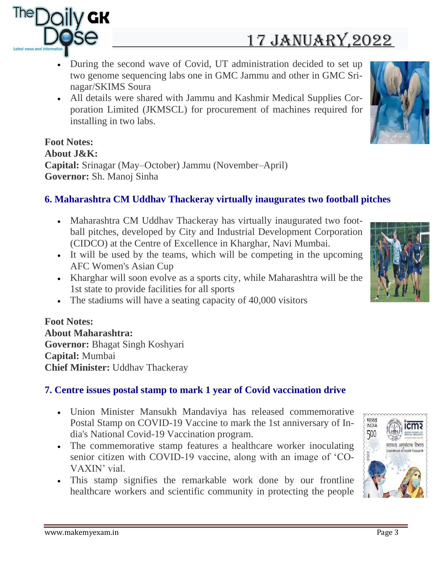

# 17 JANUARY, 2022

- During the second wave of Covid, UT administration decided to set up two genome sequencing labs one in GMC Jammu and other in GMC Srinagar/SKIMS Soura
- All details were shared with Jammu and Kashmir Medical Supplies Corporation Limited (JKMSCL) for procurement of machines required for installing in two labs.

#### **Foot Notes: About J&K: Capital:** Srinagar (May–October) Jammu (November–April) **Governor:** Sh. Manoj Sinha

#### **6. Maharashtra CM Uddhav Thackeray virtually inaugurates two football pitches**

- Maharashtra CM Uddhav Thackeray has virtually inaugurated two football pitches, developed by City and Industrial Development Corporation (CIDCO) at the Centre of Excellence in Kharghar, Navi Mumbai.
- It will be used by the teams, which will be competing in the upcoming AFC Women's Asian Cup
- Kharghar will soon evolve as a sports city, while Maharashtra will be the 1st state to provide facilities for all sports
- The stadiums will have a seating capacity of 40,000 visitors

#### **Foot Notes: About Maharashtra: Governor:** Bhagat Singh Koshyari **Capital:** Mumbai **Chief Minister:** Uddhav Thackeray

#### **7. Centre issues postal stamp to mark 1 year of Covid vaccination drive**

- Union Minister Mansukh Mandaviya has released commemorative Postal Stamp on COVID-19 Vaccine to mark the 1st anniversary of India's National Covid-19 Vaccination program.
- The commemorative stamp features a healthcare worker inoculating senior citizen with COVID-19 vaccine, along with an image of 'CO-VAXIN' vial.
- This stamp signifies the remarkable work done by our frontline healthcare workers and scientific community in protecting the people



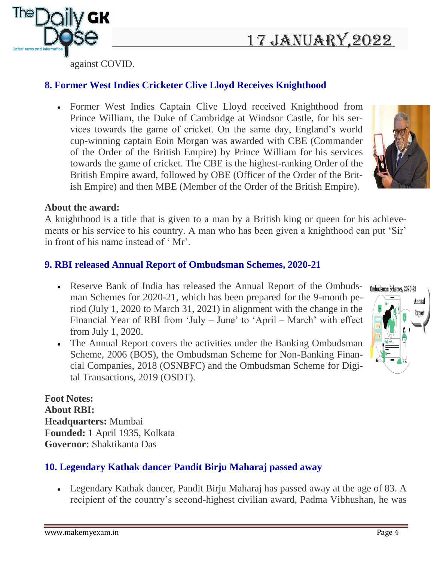# 17 JANUARY, 2022



against COVID.

#### **8. Former West Indies Cricketer Clive Lloyd Receives Knighthood**

• Former West Indies Captain Clive Lloyd received Knighthood from Prince William, the Duke of Cambridge at Windsor Castle, for his services towards the game of cricket. On the same day, England's world cup-winning captain Eoin Morgan was awarded with CBE (Commander of the Order of the British Empire) by Prince William for his services towards the game of cricket. The CBE is the highest-ranking Order of the British Empire award, followed by OBE (Officer of the Order of the British Empire) and then MBE (Member of the Order of the British Empire).



#### **About the award:**

A knighthood is a title that is given to a man by a British king or queen for his achievements or his service to his country. A man who has been given a knighthood can put 'Sir' in front of his name instead of ' Mr'.

### **9. RBI released Annual Report of Ombudsman Schemes, 2020-21**

- Reserve Bank of India has released the Annual Report of the Ombudsman Schemes for 2020-21, which has been prepared for the 9-month period (July 1, 2020 to March 31, 2021) in alignment with the change in the Financial Year of RBI from 'July – June' to 'April – March' with effect from July 1, 2020.
- The Annual Report covers the activities under the Banking Ombudsman Scheme, 2006 (BOS), the Ombudsman Scheme for Non-Banking Financial Companies, 2018 (OSNBFC) and the Ombudsman Scheme for Digital Transactions, 2019 (OSDT).



**Foot Notes: About RBI: Headquarters:** Mumbai **Founded:** 1 April 1935, Kolkata **Governor:** Shaktikanta Das

### **10. Legendary Kathak dancer Pandit Birju Maharaj passed away**

• Legendary Kathak dancer, Pandit Birju Maharaj has passed away at the age of 83. A recipient of the country's second-highest civilian award, Padma Vibhushan, he was